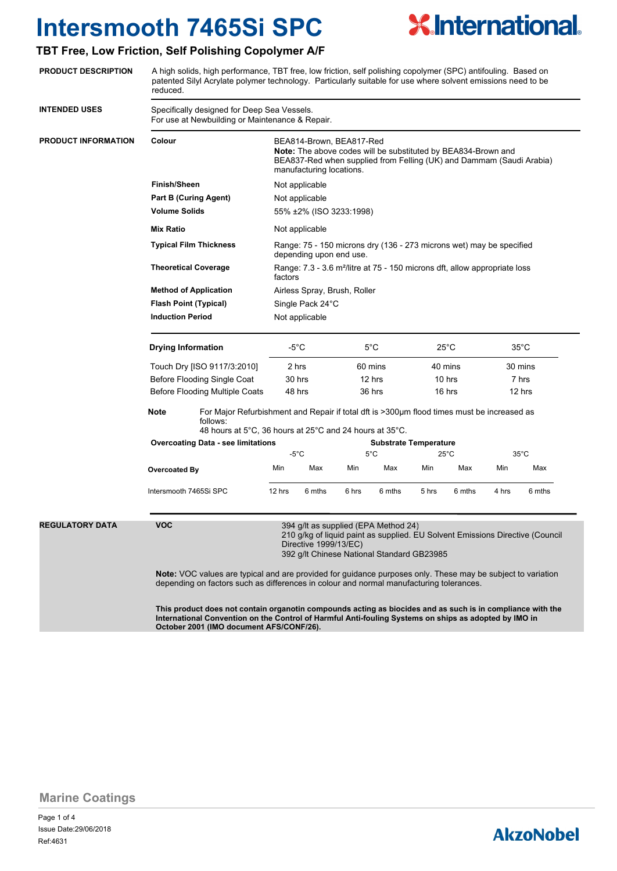

### **TBT Free, Low Friction, Self Polishing Copolymer A/F**

**PRODUCT DESCRIPTION**

|                      | reduced.                                                                                                                                                                                                                                                                                                                                                                                                                    | patented Silyl Acrylate polymer technology. Particularly suitable for use where solvent emissions need to be                                                                                                                                                               |                                                                                                                                                                                                      |                                                                                         |                                    |        |                                     |        |                                    |        |  |
|----------------------|-----------------------------------------------------------------------------------------------------------------------------------------------------------------------------------------------------------------------------------------------------------------------------------------------------------------------------------------------------------------------------------------------------------------------------|----------------------------------------------------------------------------------------------------------------------------------------------------------------------------------------------------------------------------------------------------------------------------|------------------------------------------------------------------------------------------------------------------------------------------------------------------------------------------------------|-----------------------------------------------------------------------------------------|------------------------------------|--------|-------------------------------------|--------|------------------------------------|--------|--|
| <b>INTENDED USES</b> | Specifically designed for Deep Sea Vessels.<br>For use at Newbuilding or Maintenance & Repair.                                                                                                                                                                                                                                                                                                                              |                                                                                                                                                                                                                                                                            |                                                                                                                                                                                                      |                                                                                         |                                    |        |                                     |        |                                    |        |  |
| PRODUCT INFORMATION  | Colour                                                                                                                                                                                                                                                                                                                                                                                                                      |                                                                                                                                                                                                                                                                            | BEA814-Brown, BEA817-Red<br><b>Note:</b> The above codes will be substituted by BEA834-Brown and<br>BEA837-Red when supplied from Felling (UK) and Dammam (Saudi Arabia)<br>manufacturing locations. |                                                                                         |                                    |        |                                     |        |                                    |        |  |
|                      | <b>Finish/Sheen</b>                                                                                                                                                                                                                                                                                                                                                                                                         |                                                                                                                                                                                                                                                                            |                                                                                                                                                                                                      | Not applicable                                                                          |                                    |        |                                     |        |                                    |        |  |
|                      |                                                                                                                                                                                                                                                                                                                                                                                                                             | <b>Part B (Curing Agent)</b>                                                                                                                                                                                                                                               | Not applicable<br>55% ±2% (ISO 3233:1998)<br>Not applicable                                                                                                                                          |                                                                                         |                                    |        |                                     |        |                                    |        |  |
|                      | <b>Volume Solids</b>                                                                                                                                                                                                                                                                                                                                                                                                        |                                                                                                                                                                                                                                                                            |                                                                                                                                                                                                      |                                                                                         |                                    |        |                                     |        |                                    |        |  |
|                      | <b>Mix Ratio</b>                                                                                                                                                                                                                                                                                                                                                                                                            |                                                                                                                                                                                                                                                                            |                                                                                                                                                                                                      |                                                                                         |                                    |        |                                     |        |                                    |        |  |
|                      | <b>Typical Film Thickness</b>                                                                                                                                                                                                                                                                                                                                                                                               | Range: 75 - 150 microns dry (136 - 273 microns wet) may be specified<br>depending upon end use.<br>Range: 7.3 - 3.6 m <sup>2</sup> /litre at 75 - 150 microns dft, allow appropriate loss<br>factors<br>Airless Spray, Brush, Roller<br>Single Pack 24°C<br>Not applicable |                                                                                                                                                                                                      |                                                                                         |                                    |        |                                     |        |                                    |        |  |
|                      | <b>Theoretical Coverage</b><br><b>Method of Application</b><br><b>Flash Point (Typical)</b><br><b>Induction Period</b>                                                                                                                                                                                                                                                                                                      |                                                                                                                                                                                                                                                                            |                                                                                                                                                                                                      |                                                                                         |                                    |        |                                     |        |                                    |        |  |
|                      |                                                                                                                                                                                                                                                                                                                                                                                                                             |                                                                                                                                                                                                                                                                            |                                                                                                                                                                                                      |                                                                                         |                                    |        |                                     |        |                                    |        |  |
|                      |                                                                                                                                                                                                                                                                                                                                                                                                                             |                                                                                                                                                                                                                                                                            |                                                                                                                                                                                                      |                                                                                         |                                    |        |                                     |        |                                    |        |  |
|                      |                                                                                                                                                                                                                                                                                                                                                                                                                             |                                                                                                                                                                                                                                                                            |                                                                                                                                                                                                      |                                                                                         |                                    |        |                                     |        |                                    |        |  |
|                      | <b>Drying Information</b><br>Touch Dry [ISO 9117/3:2010]<br>Before Flooding Single Coat                                                                                                                                                                                                                                                                                                                                     |                                                                                                                                                                                                                                                                            | -5°C<br>2 hrs<br>30 hrs                                                                                                                                                                              |                                                                                         | $5^{\circ}$ C<br>60 mins<br>12 hrs |        | $25^{\circ}$ C<br>40 mins<br>10 hrs |        | $35^{\circ}$ C<br>30 mins<br>7 hrs |        |  |
|                      |                                                                                                                                                                                                                                                                                                                                                                                                                             |                                                                                                                                                                                                                                                                            |                                                                                                                                                                                                      |                                                                                         |                                    |        |                                     |        |                                    |        |  |
|                      |                                                                                                                                                                                                                                                                                                                                                                                                                             |                                                                                                                                                                                                                                                                            |                                                                                                                                                                                                      |                                                                                         |                                    |        |                                     |        |                                    |        |  |
|                      | Before Flooding Multiple Coats                                                                                                                                                                                                                                                                                                                                                                                              |                                                                                                                                                                                                                                                                            | 48 hrs                                                                                                                                                                                               |                                                                                         | 36 hrs                             |        | 16 hrs                              |        | 12 hrs                             |        |  |
|                      | Note<br>For Major Refurbishment and Repair if total dft is >300µm flood times must be increased as<br>follows:                                                                                                                                                                                                                                                                                                              |                                                                                                                                                                                                                                                                            |                                                                                                                                                                                                      |                                                                                         |                                    |        |                                     |        |                                    |        |  |
|                      |                                                                                                                                                                                                                                                                                                                                                                                                                             | <b>Overcoating Data - see limitations</b>                                                                                                                                                                                                                                  |                                                                                                                                                                                                      | 48 hours at 5°C, 36 hours at 25°C and 24 hours at 35°C.<br><b>Substrate Temperature</b> |                                    |        |                                     |        |                                    |        |  |
|                      |                                                                                                                                                                                                                                                                                                                                                                                                                             |                                                                                                                                                                                                                                                                            | $-5^{\circ}$ C                                                                                                                                                                                       |                                                                                         | $5^{\circ}$ C                      |        | $25^{\circ}$ C                      |        | 35°C                               |        |  |
|                      | Overcoated By                                                                                                                                                                                                                                                                                                                                                                                                               |                                                                                                                                                                                                                                                                            | Min                                                                                                                                                                                                  | Max                                                                                     | Min                                | Max    | Min                                 | Max    | Min                                | Max    |  |
|                      |                                                                                                                                                                                                                                                                                                                                                                                                                             | Intersmooth 7465Si SPC                                                                                                                                                                                                                                                     | 12 hrs                                                                                                                                                                                               | 6 mths                                                                                  | 6 hrs                              | 6 mths | 5 hrs                               | 6 mths | 4 hrs                              | 6 mths |  |
| REGULATORY DATA      | <b>VOC</b><br>394 g/lt as supplied (EPA Method 24)<br>210 g/kg of liquid paint as supplied. EU Solvent Emissions Directive (Council<br>Directive 1999/13/EC)<br>392 g/lt Chinese National Standard GB23985<br><b>Note:</b> VOC values are typical and are provided for guidance purposes only. These may be subject to variation<br>depending on factors such as differences in colour and normal manufacturing tolerances. |                                                                                                                                                                                                                                                                            |                                                                                                                                                                                                      |                                                                                         |                                    |        |                                     |        |                                    |        |  |
|                      |                                                                                                                                                                                                                                                                                                                                                                                                                             |                                                                                                                                                                                                                                                                            |                                                                                                                                                                                                      |                                                                                         |                                    |        |                                     |        |                                    |        |  |

A high solids, high performance, TBT free, low friction, self polishing copolymer (SPC) antifouling. Based on

**This product does not contain organotin compounds acting as biocides and as such is in compliance with the International Convention on the Control of Harmful Anti-fouling Systems on ships as adopted by IMO in October 2001 (IMO document AFS/CONF/26).**

**Marine Coatings**

Page 1 of 4 Ref:4631 Issue Date:29/06/2018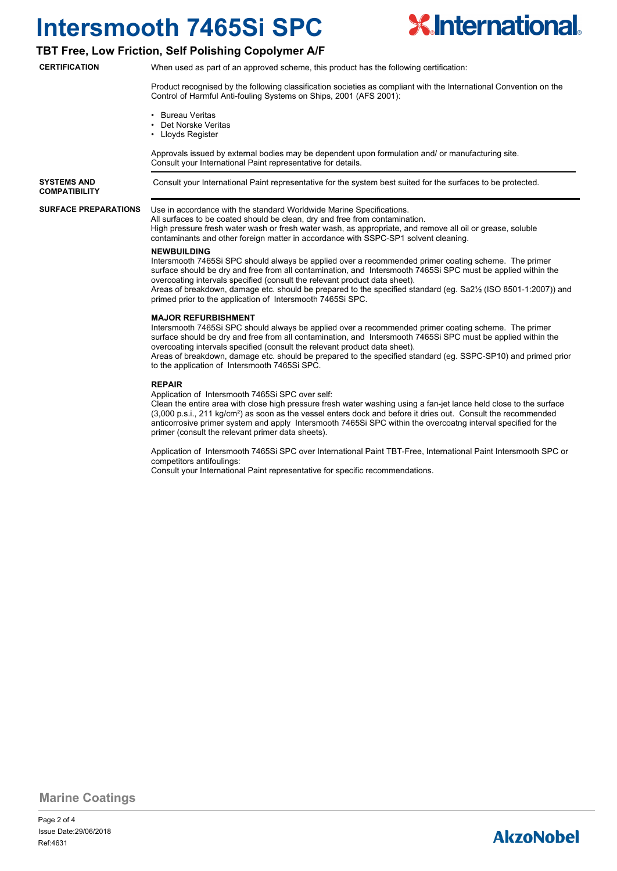

#### **TBT Free, Low Friction, Self Polishing Copolymer A/F**

**CERTIFICATION**

When used as part of an approved scheme, this product has the following certification:

Product recognised by the following classification societies as compliant with the International Convention on the Control of Harmful Anti-fouling Systems on Ships, 2001 (AFS 2001):

- Bureau Veritas
- Det Norske Veritas
- Lloyds Register

Approvals issued by external bodies may be dependent upon formulation and/ or manufacturing site. Consult your International Paint representative for details.

**SYSTEMS AND** Consult your International Paint representative for the system best suited for the surfaces to be protected. **COMPATIBILITY**

**SURFACE PREPARATIONS**

Use in accordance with the standard Worldwide Marine Specifications. All surfaces to be coated should be clean, dry and free from contamination.

High pressure fresh water wash or fresh water wash, as appropriate, and remove all oil or grease, soluble contaminants and other foreign matter in accordance with SSPC-SP1 solvent cleaning.

#### **NEWBUILDING**

Intersmooth 7465Si SPC should always be applied over a recommended primer coating scheme. The primer surface should be dry and free from all contamination, and Intersmooth 7465Si SPC must be applied within the overcoating intervals specified (consult the relevant product data sheet).

Areas of breakdown, damage etc. should be prepared to the specified standard (eg. Sa2½ (ISO 8501-1:2007)) and primed prior to the application of Intersmooth 7465Si SPC.

#### **MAJOR REFURBISHMENT**

Intersmooth 7465Si SPC should always be applied over a recommended primer coating scheme. The primer surface should be dry and free from all contamination, and Intersmooth 7465Si SPC must be applied within the overcoating intervals specified (consult the relevant product data sheet).

Areas of breakdown, damage etc. should be prepared to the specified standard (eg. SSPC-SP10) and primed prior to the application of Intersmooth 7465Si SPC.

#### **REPAIR**

Application of Intersmooth 7465Si SPC over self:

Clean the entire area with close high pressure fresh water washing using a fan-jet lance held close to the surface (3,000 p.s.i., 211 kg/cm²) as soon as the vessel enters dock and before it dries out. Consult the recommended anticorrosive primer system and apply Intersmooth 7465Si SPC within the overcoatng interval specified for the primer (consult the relevant primer data sheets).

Application of Intersmooth 7465Si SPC over International Paint TBT-Free, International Paint Intersmooth SPC or competitors antifoulings:

Consult your International Paint representative for specific recommendations.

**Marine Coatings**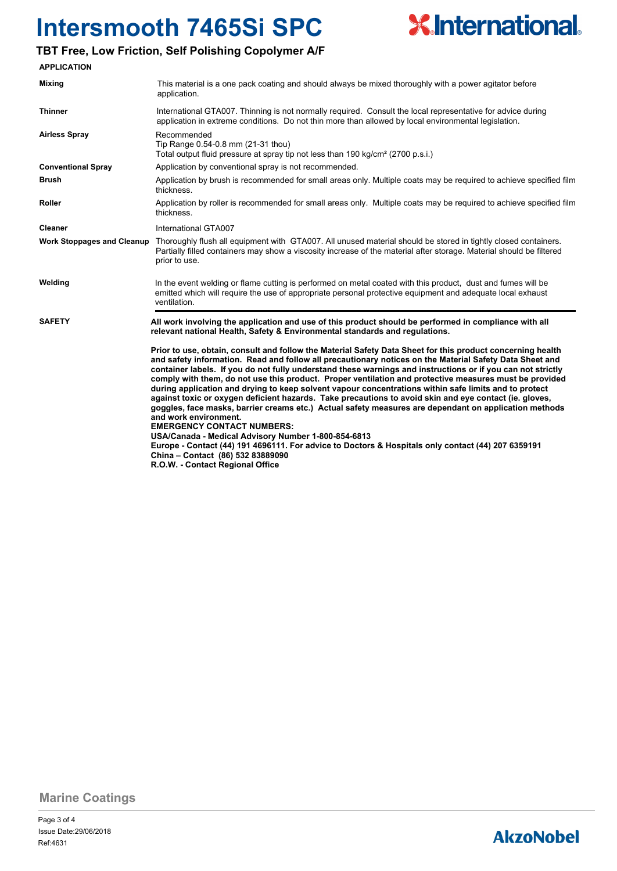

### **TBT Free, Low Friction, Self Polishing Copolymer A/F**

| <b>APPLICATION</b>                                                                                                                                                                                                                                                                                                                                                                                                                                                                                                                                                                                                                                                                                                                                                                                                                                                                                                                                                                                                                                                             |                                                                                                                                                                                                                                                         |  |  |  |  |  |
|--------------------------------------------------------------------------------------------------------------------------------------------------------------------------------------------------------------------------------------------------------------------------------------------------------------------------------------------------------------------------------------------------------------------------------------------------------------------------------------------------------------------------------------------------------------------------------------------------------------------------------------------------------------------------------------------------------------------------------------------------------------------------------------------------------------------------------------------------------------------------------------------------------------------------------------------------------------------------------------------------------------------------------------------------------------------------------|---------------------------------------------------------------------------------------------------------------------------------------------------------------------------------------------------------------------------------------------------------|--|--|--|--|--|
| Mixing                                                                                                                                                                                                                                                                                                                                                                                                                                                                                                                                                                                                                                                                                                                                                                                                                                                                                                                                                                                                                                                                         | This material is a one pack coating and should always be mixed thoroughly with a power agitator before<br>application.                                                                                                                                  |  |  |  |  |  |
| <b>Thinner</b>                                                                                                                                                                                                                                                                                                                                                                                                                                                                                                                                                                                                                                                                                                                                                                                                                                                                                                                                                                                                                                                                 | International GTA007. Thinning is not normally required. Consult the local representative for advice during<br>application in extreme conditions. Do not thin more than allowed by local environmental legislation.                                     |  |  |  |  |  |
| <b>Airless Spray</b>                                                                                                                                                                                                                                                                                                                                                                                                                                                                                                                                                                                                                                                                                                                                                                                                                                                                                                                                                                                                                                                           | Recommended<br>Tip Range 0.54-0.8 mm (21-31 thou)<br>Total output fluid pressure at spray tip not less than 190 kg/cm <sup>2</sup> (2700 p.s.i.)                                                                                                        |  |  |  |  |  |
| <b>Conventional Spray</b>                                                                                                                                                                                                                                                                                                                                                                                                                                                                                                                                                                                                                                                                                                                                                                                                                                                                                                                                                                                                                                                      | Application by conventional spray is not recommended.                                                                                                                                                                                                   |  |  |  |  |  |
| <b>Brush</b>                                                                                                                                                                                                                                                                                                                                                                                                                                                                                                                                                                                                                                                                                                                                                                                                                                                                                                                                                                                                                                                                   | Application by brush is recommended for small areas only. Multiple coats may be required to achieve specified film<br>thickness.                                                                                                                        |  |  |  |  |  |
| Roller                                                                                                                                                                                                                                                                                                                                                                                                                                                                                                                                                                                                                                                                                                                                                                                                                                                                                                                                                                                                                                                                         | Application by roller is recommended for small areas only. Multiple coats may be required to achieve specified film<br>thickness.                                                                                                                       |  |  |  |  |  |
| <b>Cleaner</b>                                                                                                                                                                                                                                                                                                                                                                                                                                                                                                                                                                                                                                                                                                                                                                                                                                                                                                                                                                                                                                                                 | International GTA007                                                                                                                                                                                                                                    |  |  |  |  |  |
| <b>Work Stoppages and Cleanup</b>                                                                                                                                                                                                                                                                                                                                                                                                                                                                                                                                                                                                                                                                                                                                                                                                                                                                                                                                                                                                                                              | Thoroughly flush all equipment with GTA007. All unused material should be stored in tightly closed containers.<br>Partially filled containers may show a viscosity increase of the material after storage. Material should be filtered<br>prior to use. |  |  |  |  |  |
| Welding                                                                                                                                                                                                                                                                                                                                                                                                                                                                                                                                                                                                                                                                                                                                                                                                                                                                                                                                                                                                                                                                        | In the event welding or flame cutting is performed on metal coated with this product, dust and fumes will be<br>emitted which will require the use of appropriate personal protective equipment and adequate local exhaust<br>ventilation.              |  |  |  |  |  |
| <b>SAFETY</b>                                                                                                                                                                                                                                                                                                                                                                                                                                                                                                                                                                                                                                                                                                                                                                                                                                                                                                                                                                                                                                                                  | All work involving the application and use of this product should be performed in compliance with all<br>relevant national Health, Safety & Environmental standards and regulations.                                                                    |  |  |  |  |  |
| Prior to use, obtain, consult and follow the Material Safety Data Sheet for this product concerning health<br>and safety information. Read and follow all precautionary notices on the Material Safety Data Sheet and<br>container labels. If you do not fully understand these warnings and instructions or if you can not strictly<br>comply with them, do not use this product. Proper ventilation and protective measures must be provided<br>during application and drying to keep solvent vapour concentrations within safe limits and to protect<br>against toxic or oxygen deficient hazards. Take precautions to avoid skin and eye contact (ie. gloves,<br>goggles, face masks, barrier creams etc.) Actual safety measures are dependant on application methods<br>and work environment.<br><b>EMERGENCY CONTACT NUMBERS:</b><br>USA/Canada - Medical Advisory Number 1-800-854-6813<br>Europe - Contact (44) 191 4696111. For advice to Doctors & Hospitals only contact (44) 207 6359191<br>China - Contact (86) 532 83889090<br>R.O.W. - Contact Regional Office |                                                                                                                                                                                                                                                         |  |  |  |  |  |

**Marine Coatings**